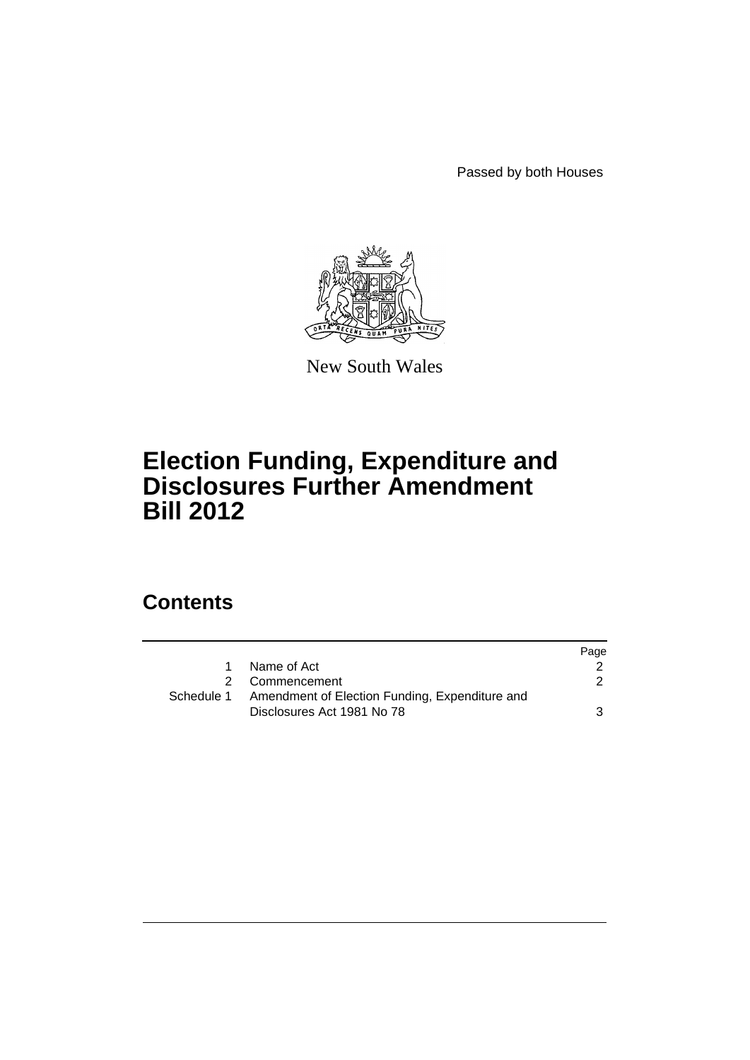Passed by both Houses



New South Wales

## **Election Funding, Expenditure and Disclosures Further Amendment Bill 2012**

## **Contents**

|            |                                                | Page |
|------------|------------------------------------------------|------|
| 1          | Name of Act                                    |      |
|            | 2 Commencement                                 | 2    |
| Schedule 1 | Amendment of Election Funding, Expenditure and |      |
|            | Disclosures Act 1981 No 78                     | 3    |
|            |                                                |      |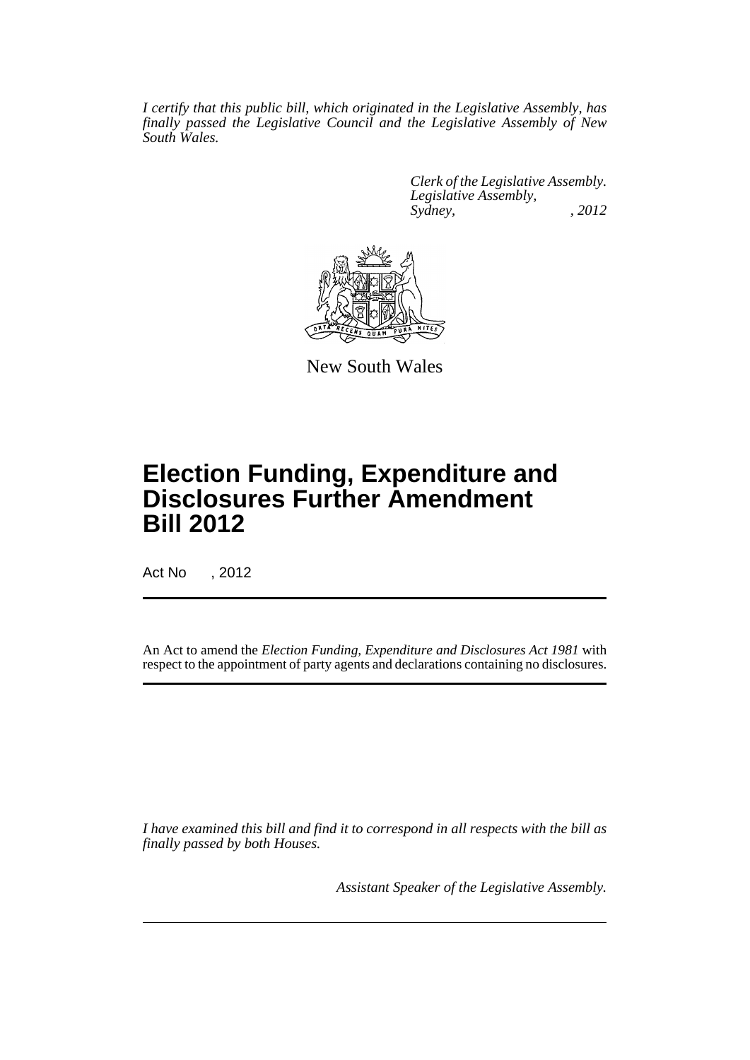*I certify that this public bill, which originated in the Legislative Assembly, has finally passed the Legislative Council and the Legislative Assembly of New South Wales.*

> *Clerk of the Legislative Assembly. Legislative Assembly, Sydney, , 2012*



New South Wales

# **Election Funding, Expenditure and Disclosures Further Amendment Bill 2012**

Act No , 2012

An Act to amend the *Election Funding, Expenditure and Disclosures Act 1981* with respect to the appointment of party agents and declarations containing no disclosures.

*I have examined this bill and find it to correspond in all respects with the bill as finally passed by both Houses.*

*Assistant Speaker of the Legislative Assembly.*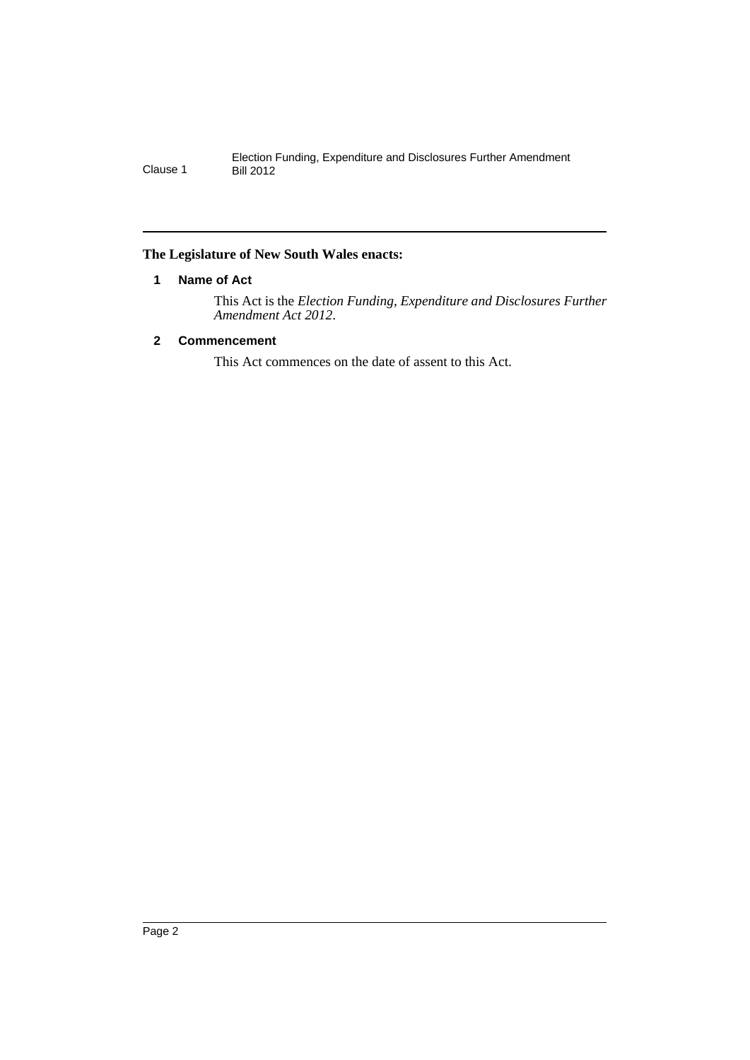#### <span id="page-3-0"></span>**The Legislature of New South Wales enacts:**

#### **1 Name of Act**

This Act is the *Election Funding, Expenditure and Disclosures Further Amendment Act 2012*.

### <span id="page-3-1"></span>**2 Commencement**

This Act commences on the date of assent to this Act.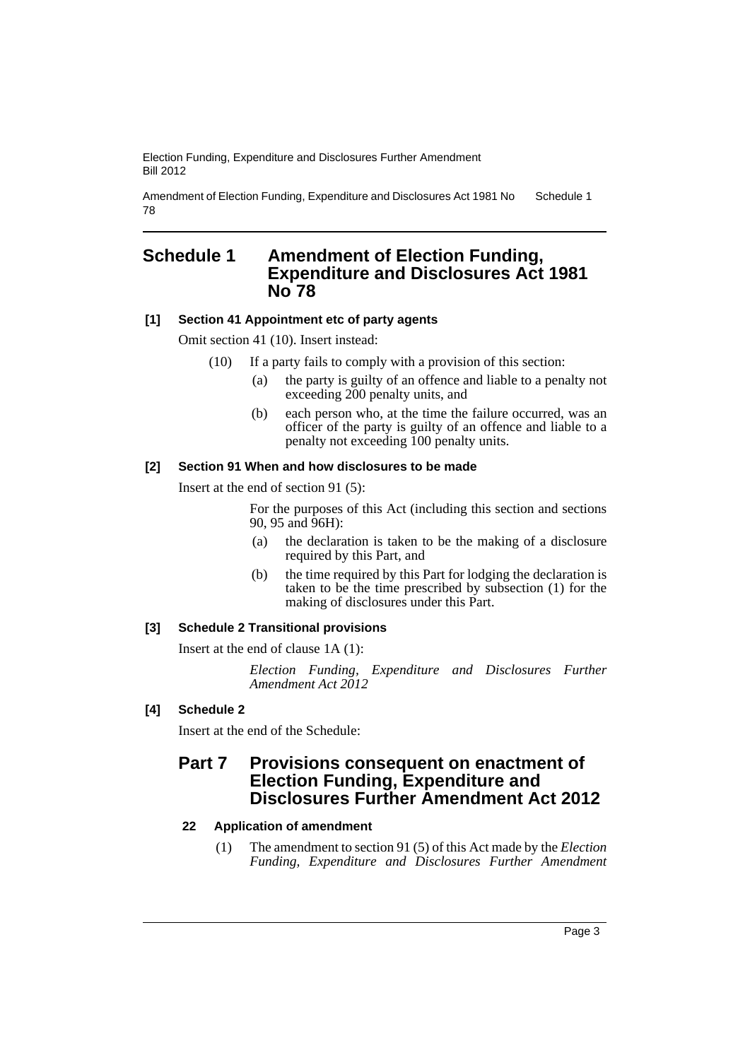Election Funding, Expenditure and Disclosures Further Amendment Bill 2012

Amendment of Election Funding, Expenditure and Disclosures Act 1981 No 78 Schedule 1

### <span id="page-4-0"></span>**Schedule 1 Amendment of Election Funding, Expenditure and Disclosures Act 1981 No 78**

#### **[1] Section 41 Appointment etc of party agents**

Omit section 41 (10). Insert instead:

- (10) If a party fails to comply with a provision of this section:
	- (a) the party is guilty of an offence and liable to a penalty not exceeding 200 penalty units, and
	- (b) each person who, at the time the failure occurred, was an officer of the party is guilty of an offence and liable to a penalty not exceeding 100 penalty units.

#### **[2] Section 91 When and how disclosures to be made**

Insert at the end of section 91 (5):

For the purposes of this Act (including this section and sections 90, 95 and 96H):

- (a) the declaration is taken to be the making of a disclosure required by this Part, and
- (b) the time required by this Part for lodging the declaration is taken to be the time prescribed by subsection (1) for the making of disclosures under this Part.

#### **[3] Schedule 2 Transitional provisions**

Insert at the end of clause 1A (1):

*Election Funding, Expenditure and Disclosures Further Amendment Act 2012*

#### **[4] Schedule 2**

Insert at the end of the Schedule:

## **Part 7 Provisions consequent on enactment of Election Funding, Expenditure and Disclosures Further Amendment Act 2012**

#### **22 Application of amendment**

(1) The amendment to section 91 (5) of this Act made by the *Election Funding, Expenditure and Disclosures Further Amendment*